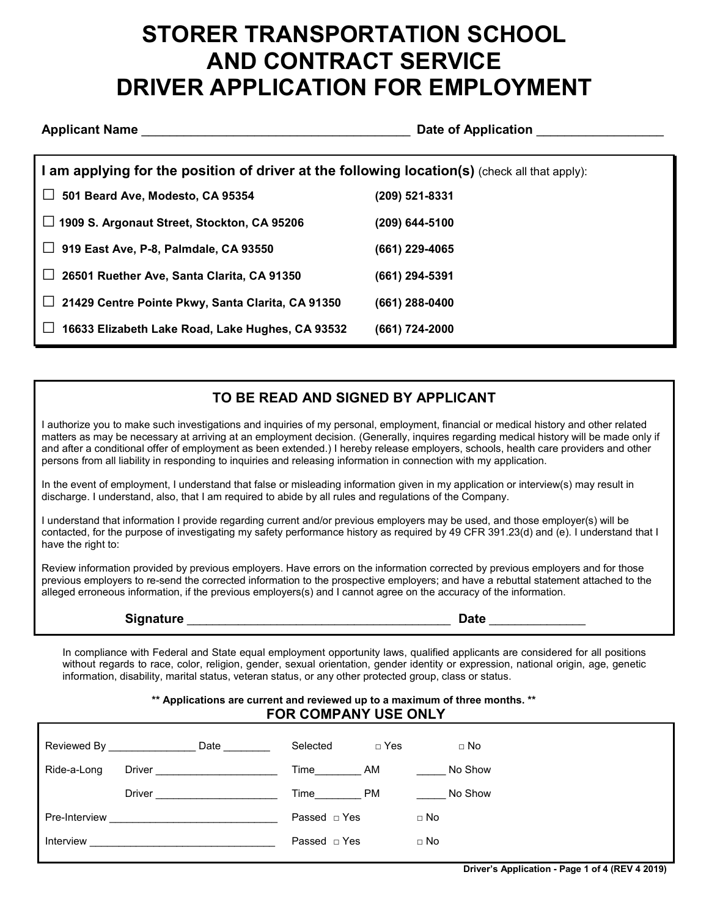# **STORER TRANSPORTATION SCHOOL AND CONTRACT SERVICE DRIVER APPLICATION FOR EMPLOYMENT**

| <b>Applicant Name</b>                                                                         | Date of Application |
|-----------------------------------------------------------------------------------------------|---------------------|
| I am applying for the position of driver at the following location(s) (check all that apply): |                     |
| 501 Beard Ave, Modesto, CA 95354                                                              | (209) 521-8331      |
| $\Box$ 1909 S. Argonaut Street, Stockton, CA 95206                                            | (209) 644-5100      |
| 919 East Ave, P-8, Palmdale, CA 93550                                                         | (661) 229-4065      |
| 26501 Ruether Ave, Santa Clarita, CA 91350                                                    | (661) 294-5391      |
| 21429 Centre Pointe Pkwy, Santa Clarita, CA 91350                                             | (661) 288-0400      |
| 16633 Elizabeth Lake Road, Lake Hughes, CA 93532                                              | (661) 724-2000      |

## **TO BE READ AND SIGNED BY APPLICANT**

I authorize you to make such investigations and inquiries of my personal, employment, financial or medical history and other related matters as may be necessary at arriving at an employment decision. (Generally, inquires regarding medical history will be made only if and after a conditional offer of employment as been extended.) I hereby release employers, schools, health care providers and other persons from all liability in responding to inquiries and releasing information in connection with my application.

In the event of employment, I understand that false or misleading information given in my application or interview(s) may result in discharge. I understand, also, that I am required to abide by all rules and regulations of the Company.

I understand that information I provide regarding current and/or previous employers may be used, and those employer(s) will be contacted, for the purpose of investigating my safety performance history as required by 49 CFR 391.23(d) and (e). I understand that I have the right to:

Review information provided by previous employers. Have errors on the information corrected by previous employers and for those previous employers to re-send the corrected information to the prospective employers; and have a rebuttal statement attached to the alleged erroneous information, if the previous employers(s) and I cannot agree on the accuracy of the information.

|  | <b>Signature</b> |
|--|------------------|
|  |                  |

**Signature** \_\_\_\_\_\_\_\_\_\_\_\_\_\_\_\_\_\_\_\_\_\_\_\_\_\_\_\_\_\_\_\_\_\_\_\_\_\_\_\_\_ **Date** \_\_\_\_\_\_\_\_\_\_\_\_\_\_\_

In compliance with Federal and State equal employment opportunity laws, qualified applicants are considered for all positions without regards to race, color, religion, gender, sexual orientation, gender identity or expression, national origin, age, genetic information, disability, marital status, veteran status, or any other protected group, class or status.

> **\*\* Applications are current and reviewed up to a maximum of three months. \*\* FOR COMPANY USE ONLY**

| Reviewed By<br>Date   | Selected          | $\Box$ Yes | $\Box$ No |
|-----------------------|-------------------|------------|-----------|
| Ride-a-Long<br>Driver | Time              | AM         | No Show   |
| Driver                | Time              | PM         | No Show   |
| Pre-Interview         | Passed $\Box$ Yes |            | $\Box$ No |
| Interview             | Passed $\Box$ Yes |            | $\Box$ No |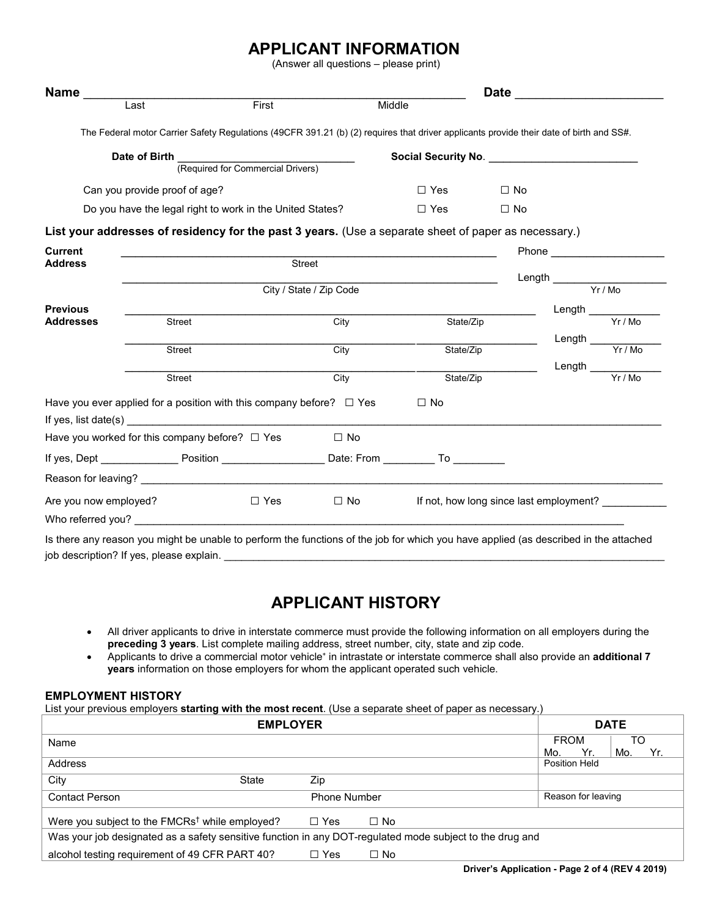## **APPLICANT INFORMATION**

(Answer all questions – please print)

| Name_                 |                                                                                                                                                                                                                                                                                                             |            |                         |                                                | Date      |                                         |                    |
|-----------------------|-------------------------------------------------------------------------------------------------------------------------------------------------------------------------------------------------------------------------------------------------------------------------------------------------------------|------------|-------------------------|------------------------------------------------|-----------|-----------------------------------------|--------------------|
|                       | Last                                                                                                                                                                                                                                                                                                        | First      |                         | Middle                                         |           |                                         |                    |
|                       | The Federal motor Carrier Safety Regulations (49CFR 391.21 (b) (2) requires that driver applicants provide their date of birth and SS#.                                                                                                                                                                     |            |                         |                                                |           |                                         |                    |
|                       | Date of Birth<br>(Required for Commercial Drivers)                                                                                                                                                                                                                                                          |            |                         | Social Security No. <b>Social Security No.</b> |           |                                         |                    |
|                       | Can you provide proof of age?                                                                                                                                                                                                                                                                               |            |                         | $\Box$ Yes                                     | $\Box$ No |                                         |                    |
|                       | Do you have the legal right to work in the United States?                                                                                                                                                                                                                                                   |            |                         | $\Box$ Yes                                     | $\Box$ No |                                         |                    |
|                       | List your addresses of residency for the past 3 years. (Use a separate sheet of paper as necessary.)                                                                                                                                                                                                        |            |                         |                                                |           |                                         |                    |
| <b>Current</b>        |                                                                                                                                                                                                                                                                                                             |            |                         |                                                |           | Phone <u>_______________</u>            |                    |
| <b>Address</b>        |                                                                                                                                                                                                                                                                                                             |            | Street                  |                                                |           |                                         |                    |
|                       |                                                                                                                                                                                                                                                                                                             |            | City / State / Zip Code |                                                |           | Length $\frac{1}{Yr/M_0}$               |                    |
| <b>Previous</b>       |                                                                                                                                                                                                                                                                                                             |            |                         |                                                |           | Length                                  |                    |
| <b>Addresses</b>      | <b>Street</b>                                                                                                                                                                                                                                                                                               |            | City                    | State/Zip                                      |           |                                         | Yr / Mo            |
|                       | <b>Street</b>                                                                                                                                                                                                                                                                                               |            | City                    | State/Zip                                      |           | Length $\_\_$                           | $\frac{1}{Yr/M_0}$ |
|                       |                                                                                                                                                                                                                                                                                                             |            |                         |                                                |           |                                         |                    |
|                       | <b>Street</b>                                                                                                                                                                                                                                                                                               |            | City                    | State/Zip                                      |           | Length $\frac{V_r}{V_r/M_0}$            |                    |
|                       | Have you ever applied for a position with this company before? $\Box$ Yes<br>If yes, list date(s) example and the set of the set of the set of the set of the set of the set of the set of the set of the set of the set of the set of the set of the set of the set of the set of the set of the set of th |            |                         | $\Box$ No                                      |           |                                         |                    |
|                       | Have you worked for this company before? $\Box$ Yes                                                                                                                                                                                                                                                         |            | $\Box$ No               |                                                |           |                                         |                    |
|                       |                                                                                                                                                                                                                                                                                                             |            |                         |                                                |           |                                         |                    |
|                       | Reason for leaving?<br>Notice that the contract of the contract of the contract of the contract of the contract of the contract of the contract of the contract of the contract of the contract of the contract of the contract                                                                             |            |                         |                                                |           |                                         |                    |
| Are you now employed? |                                                                                                                                                                                                                                                                                                             | $\Box$ Yes | $\Box$ No               |                                                |           | If not, how long since last employment? |                    |
|                       | Who referred you? The contract of the contract of the contract of the contract of the contract of the contract of the contract of the contract of the contract of the contract of the contract of the contract of the contract                                                                              |            |                         |                                                |           |                                         |                    |
|                       | Is there any reason you might be unable to perform the functions of the job for which you have applied (as described in the attached                                                                                                                                                                        |            |                         |                                                |           |                                         |                    |

job description? If yes, please explain. \_\_\_\_\_

## **APPLICANT HISTORY**

- All driver applicants to drive in interstate commerce must provide the following information on all employers during the **preceding 3 years**. List complete mailing address, street number, city, state and zip code.
- Applicants to drive a commercial motor vehicle<sup>∗</sup> in intrastate or interstate commerce shall also provide an **additional 7 years** information on those employers for whom the applicant operated such vehicle.

### **EMPLOYMENT HISTORY**

List your previous employers **starting with the most recent**. (Use a separate sheet of paper as necessary.)

| <b>EMPLOYER</b>                                                                                          |                     |           | <b>DATE</b>                                   |  |
|----------------------------------------------------------------------------------------------------------|---------------------|-----------|-----------------------------------------------|--|
| Name                                                                                                     |                     |           | <b>FROM</b><br>TO<br>Yr.<br>Mo.<br>Yr.<br>Mo. |  |
| Address                                                                                                  |                     |           | Position Held                                 |  |
| City<br><b>State</b>                                                                                     | Zip                 |           |                                               |  |
| <b>Contact Person</b>                                                                                    | <b>Phone Number</b> |           | Reason for leaving                            |  |
| Were you subject to the FMCRs <sup>†</sup> while employed?                                               | $\Box$ Yes          | $\Box$ No |                                               |  |
| Was your job designated as a safety sensitive function in any DOT-regulated mode subject to the drug and |                     |           |                                               |  |
| alcohol testing requirement of 49 CFR PART 40?                                                           | $\Box$ Yes          | $\Box$ No |                                               |  |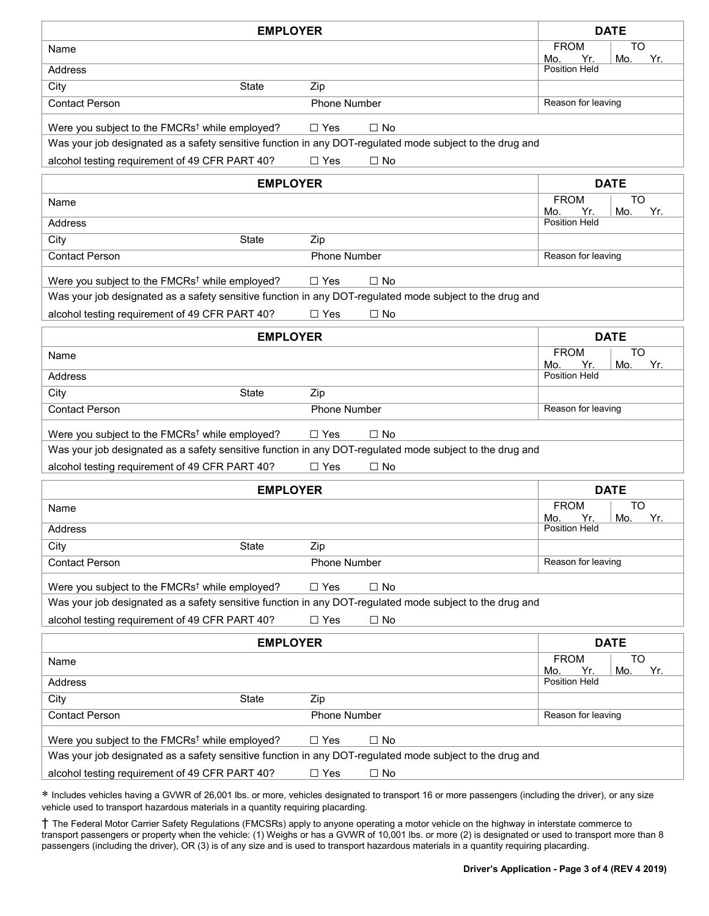| <b>EMPLOYER</b>                                                                                          |                            | <b>DATE</b>                                          |
|----------------------------------------------------------------------------------------------------------|----------------------------|------------------------------------------------------|
| Name                                                                                                     |                            | <b>FROM</b><br><b>TO</b><br>Yr.<br>Mo.<br>Yr.<br>Mo. |
| Address                                                                                                  |                            | <b>Position Held</b>                                 |
| City<br><b>State</b>                                                                                     | Zip                        |                                                      |
| <b>Contact Person</b>                                                                                    | Phone Number               | Reason for leaving                                   |
| Were you subject to the FMCRs <sup>t</sup> while employed?                                               | $\Box$ Yes<br>$\Box$ No    |                                                      |
| Was your job designated as a safety sensitive function in any DOT-regulated mode subject to the drug and |                            |                                                      |
| alcohol testing requirement of 49 CFR PART 40?                                                           | $\Box$ Yes<br>$\Box$ No    |                                                      |
| <b>EMPLOYER</b>                                                                                          |                            | <b>DATE</b>                                          |
| Name                                                                                                     |                            | <b>FROM</b><br><b>TO</b><br>Yr.<br>Mo.<br>Yr.<br>Mo. |
| Address                                                                                                  |                            | <b>Position Held</b>                                 |
| City<br><b>State</b>                                                                                     | Zip                        |                                                      |
| <b>Contact Person</b>                                                                                    | <b>Phone Number</b>        | Reason for leaving                                   |
| Were you subject to the FMCRs <sup>†</sup> while employed?                                               | $\Box$ Yes<br>$\Box$ No    |                                                      |
| Was your job designated as a safety sensitive function in any DOT-regulated mode subject to the drug and |                            |                                                      |
| alcohol testing requirement of 49 CFR PART 40?                                                           | $\Box$ Yes<br>$\Box$ No    |                                                      |
| <b>EMPLOYER</b>                                                                                          |                            | <b>DATE</b>                                          |
| Name                                                                                                     |                            | <b>FROM</b><br><b>TO</b><br>Yr.<br>Mo.<br>Yr.<br>Mo. |
| Address                                                                                                  |                            | <b>Position Held</b>                                 |
| City<br><b>State</b>                                                                                     | Zip                        |                                                      |
| <b>Contact Person</b>                                                                                    | <b>Phone Number</b>        | Reason for leaving                                   |
| Were you subject to the FMCRs <sup>t</sup> while employed?                                               | $\Box$ Yes<br>$\square$ No |                                                      |
| Was your job designated as a safety sensitive function in any DOT-regulated mode subject to the drug and |                            |                                                      |
| alcohol testing requirement of 49 CFR PART 40?                                                           | $\Box$ Yes<br>$\Box$ No    |                                                      |
| <b>EMPLOYER</b>                                                                                          |                            | <b>DATE</b>                                          |
| Name                                                                                                     |                            | <b>FROM</b><br>TO<br>Yr.<br>Mo.<br>Yr.<br>Mo.        |
| Address                                                                                                  |                            | <b>Position Held</b>                                 |
| City<br>State                                                                                            | Zip                        |                                                      |
| <b>Contact Person</b>                                                                                    | Phone Number               | Reason for leaving                                   |
| Were you subject to the FMCRs <sup>†</sup> while employed?                                               | $\Box$ Yes<br>$\Box$ No    |                                                      |
| Was your job designated as a safety sensitive function in any DOT-regulated mode subject to the drug and |                            |                                                      |
| alcohol testing requirement of 49 CFR PART 40?                                                           | $\Box$ Yes<br>$\Box$ No    |                                                      |
| <b>EMPLOYER</b>                                                                                          |                            | <b>DATE</b>                                          |
| Name                                                                                                     |                            | <b>FROM</b><br>TO<br>Yr.<br>Mo.<br>Mo.<br>Yr.        |
| Address                                                                                                  |                            | <b>Position Held</b>                                 |
| City<br>State                                                                                            | Zip                        |                                                      |
| <b>Contact Person</b>                                                                                    | Phone Number               | Reason for leaving                                   |
| Were you subject to the FMCRs <sup>†</sup> while employed?                                               | $\Box$ Yes<br>$\Box$ No    |                                                      |
| Was your job designated as a safety sensitive function in any DOT-regulated mode subject to the drug and |                            |                                                      |
| alcohol testing requirement of 49 CFR PART 40?                                                           | $\square$ Yes<br>$\Box$ No |                                                      |

∗ Includes vehicles having a GVWR of 26,001 lbs. or more, vehicles designated to transport 16 or more passengers (including the driver), or any size vehicle used to transport hazardous materials in a quantity requiring placarding.

† The Federal Motor Carrier Safety Regulations (FMCSRs) apply to anyone operating a motor vehicle on the highway in interstate commerce to transport passengers or property when the vehicle: (1) Weighs or has a GVWR of 10,001 lbs. or more (2) is designated or used to transport more than 8 passengers (including the driver), OR (3) is of any size and is used to transport hazardous materials in a quantity requiring placarding.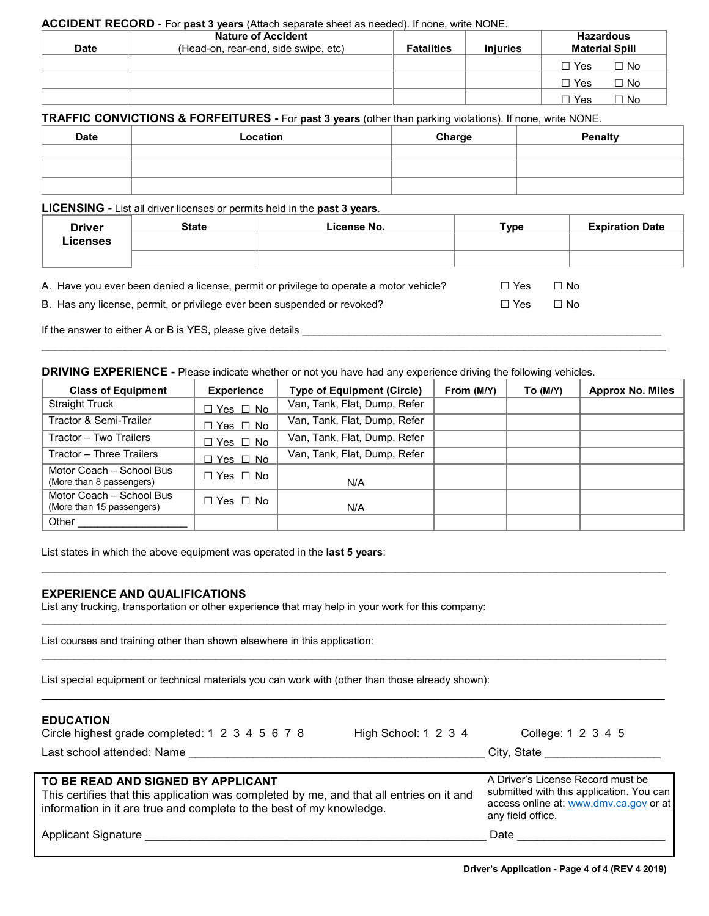#### **ACCIDENT RECORD** - For **past 3 years** (Attach separate sheet as needed). If none, write NONE.

| <b>Date</b> | <b>Nature of Accident</b><br>(Head-on, rear-end, side swipe, etc) | <b>Fatalities</b> | <b>Injuries</b> | <b>Hazardous</b><br><b>Material Spill</b> |
|-------------|-------------------------------------------------------------------|-------------------|-----------------|-------------------------------------------|
|             |                                                                   |                   |                 | $\Box$ No<br>$\Box$ Yes                   |
|             |                                                                   |                   |                 | $\Box$ No<br>$\Box$ Yes                   |
|             |                                                                   |                   |                 | $\Box$ No<br>$\Box$ Yes                   |

#### **TRAFFIC CONVICTIONS & FORFEITURES -** For **past 3 years** (other than parking violations). If none, write NONE.

| <b>Date</b> | Location | Charge | <b>Penalty</b> |
|-------------|----------|--------|----------------|
|             |          |        |                |
|             |          |        |                |
|             |          |        |                |

#### **LICENSING -** List all driver licenses or permits held in the **past 3 years**.

| <b>Driver</b>   | <b>State</b> | License No.                                                                             | Type       | <b>Expiration Date</b> |
|-----------------|--------------|-----------------------------------------------------------------------------------------|------------|------------------------|
| <b>Licenses</b> |              |                                                                                         |            |                        |
|                 |              |                                                                                         |            |                        |
|                 |              | A. Have you ever been denied a license, permit or privilege to operate a motor vehicle? | $\Box$ Yes | $\Box$ No              |

\_\_\_\_\_\_\_\_\_\_\_\_\_\_\_\_\_\_\_\_\_\_\_\_\_\_\_\_\_\_\_\_\_\_\_\_\_\_\_\_\_\_\_\_\_\_\_\_\_\_\_\_\_\_\_\_\_\_\_\_\_\_\_\_\_\_\_\_\_\_\_\_\_\_\_\_\_\_\_\_\_\_\_\_\_\_\_\_\_\_\_\_\_\_\_\_\_

B. Has any license, permit, or privilege ever been suspended or revoked?  $\Box$  Yes  $\Box$  No

If the answer to either A or B is YES, please give details

### **DRIVING EXPERIENCE -** Please indicate whether or not you have had any experience driving the following vehicles.

| <b>Class of Equipment</b>                             | <b>Experience</b>             | <b>Type of Equipment (Circle)</b> | From (M/Y) | To $(M/Y)$ | <b>Approx No. Miles</b> |
|-------------------------------------------------------|-------------------------------|-----------------------------------|------------|------------|-------------------------|
| <b>Straight Truck</b>                                 | □ Yes □ No                    | Van, Tank, Flat, Dump, Refer      |            |            |                         |
| Tractor & Semi-Trailer                                | Yes $\Box$ No<br>$\mathbf{I}$ | Van, Tank, Flat, Dump, Refer      |            |            |                         |
| Tractor - Two Trailers                                | □ Yes □ No                    | Van, Tank, Flat, Dump, Refer      |            |            |                         |
| Tractor - Three Trailers                              | □ Yes □ No                    | Van, Tank, Flat, Dump, Refer      |            |            |                         |
| Motor Coach - School Bus<br>(More than 8 passengers)  | □ Yes □ No                    | N/A                               |            |            |                         |
| Motor Coach - School Bus<br>(More than 15 passengers) | □ Yes □ No                    | N/A                               |            |            |                         |
| Other                                                 |                               |                                   |            |            |                         |

\_\_\_\_\_\_\_\_\_\_\_\_\_\_\_\_\_\_\_\_\_\_\_\_\_\_\_\_\_\_\_\_\_\_\_\_\_\_\_\_\_\_\_\_\_\_\_\_\_\_\_\_\_\_\_\_\_\_\_\_\_\_\_\_\_\_\_\_\_\_\_\_\_\_\_\_\_\_\_\_\_\_\_\_\_\_\_\_\_\_\_\_\_\_\_\_\_

\_\_\_\_\_\_\_\_\_\_\_\_\_\_\_\_\_\_\_\_\_\_\_\_\_\_\_\_\_\_\_\_\_\_\_\_\_\_\_\_\_\_\_\_\_\_\_\_\_\_\_\_\_\_\_\_\_\_\_\_\_\_\_\_\_\_\_\_\_\_\_\_\_\_\_\_\_\_\_\_\_\_\_\_\_\_\_\_\_\_\_\_\_\_\_\_\_

\_\_\_\_\_\_\_\_\_\_\_\_\_\_\_\_\_\_\_\_\_\_\_\_\_\_\_\_\_\_\_\_\_\_\_\_\_\_\_\_\_\_\_\_\_\_\_\_\_\_\_\_\_\_\_\_\_\_\_\_\_\_\_\_\_\_\_\_\_\_\_\_\_\_\_\_\_\_\_\_\_\_\_\_\_\_\_\_\_\_\_\_\_\_\_\_\_

 $\_$  , and the set of the set of the set of the set of the set of the set of the set of the set of the set of the set of the set of the set of the set of the set of the set of the set of the set of the set of the set of th

List states in which the above equipment was operated in the **last 5 years**:

#### **EXPERIENCE AND QUALIFICATIONS**

List any trucking, transportation or other experience that may help in your work for this company:

List courses and training other than shown elsewhere in this application:

List special equipment or technical materials you can work with (other than those already shown):

#### **EDUCATION**

| Circle highest grade completed: 1 2 3 4 5 6 7 8 | High School: 1 2 3 4 | College: 1 2 3 4 5 |
|-------------------------------------------------|----------------------|--------------------|
| Last school attended: Name                      |                      | City, State        |
|                                                 |                      |                    |

#### **TO BE READ AND SIGNED BY APPLICANT** This certifies that this application was completed by me, and that all entries on it and information in it are true and complete to the best of my knowledge.

Applicant Signature **Algebra 2018** 

|--|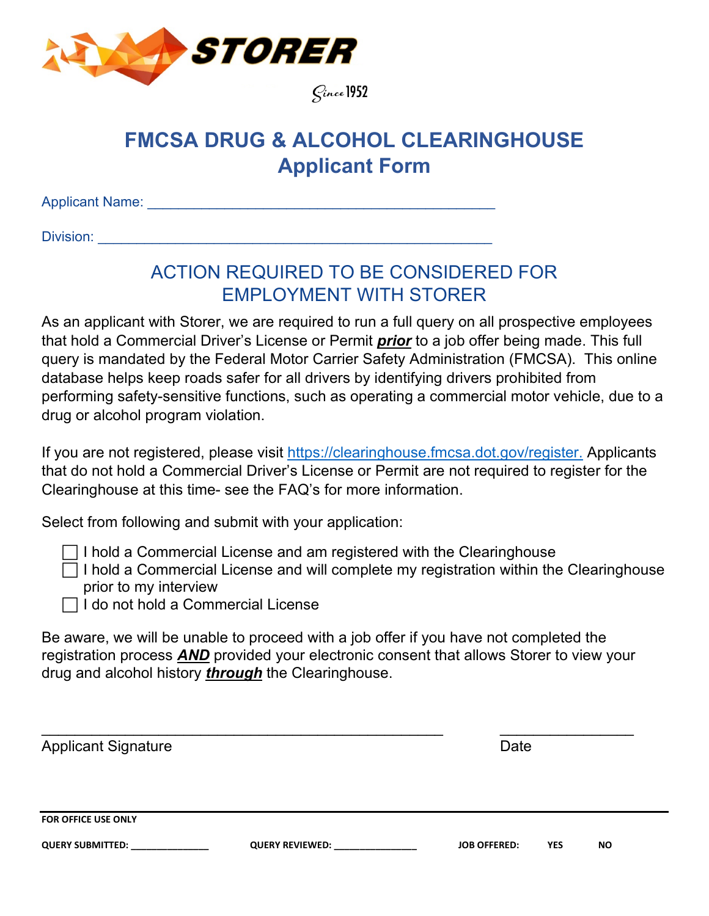

# **FMCSA DRUG & ALCOHOL CLEARINGHOUSE Applicant Form**

Applicant Name: **Alternative According to According the According According to According the According to According the According to According the According to According the According to According the According to Accordin** 

Division: \_\_\_\_\_\_\_\_\_\_\_\_\_\_\_\_\_\_\_\_\_\_\_\_\_\_\_\_\_\_\_\_\_\_\_\_\_\_\_\_\_\_\_\_\_\_\_\_\_\_\_

# ACTION REQUIRED TO BE CONSIDERED FOR EMPLOYMENT WITH STORER

As an applicant with Storer, we are required to run a full query on all prospective employees that hold a Commercial Driver's License or Permit *prior* to a job offer being made. This full query is mandated by the Federal Motor Carrier Safety Administration (FMCSA). This online database helps keep roads safer for all drivers by identifying drivers prohibited from performing safety-sensitive functions, such as operating a commercial motor vehicle, due to a drug or alcohol program violation.

If you are not registered, please visit [https://clearinghouse.fmcsa.dot.gov/register.](https://clearinghouse.fmcsa.dot.gov/register) Applicants that do not hold a Commercial Driver's License or Permit are not required to register for the Clearinghouse at this time- see the FAQ's for more information.

Select from following and submit with your application:

 $\Box$  I hold a Commercial License and am registered with the Clearinghouse

 $\Box$  I hold a Commercial License and will complete my registration within the Clearinghouse prior to my interview

 $\Box$  I do not hold a Commercial License

Be aware, we will be unable to proceed with a job offer if you have not completed the registration process *AND* provided your electronic consent that allows Storer to view your drug and alcohol history *through* the Clearinghouse.

| <b>Applicant Signature</b> |                        | Date                |            |           |  |
|----------------------------|------------------------|---------------------|------------|-----------|--|
| <b>FOR OFFICE USE ONLY</b> |                        |                     |            |           |  |
| <b>QUERY SUBMITTED:</b>    | <b>QUERY REVIEWED:</b> | <b>JOB OFFERED:</b> | <b>YES</b> | <b>NO</b> |  |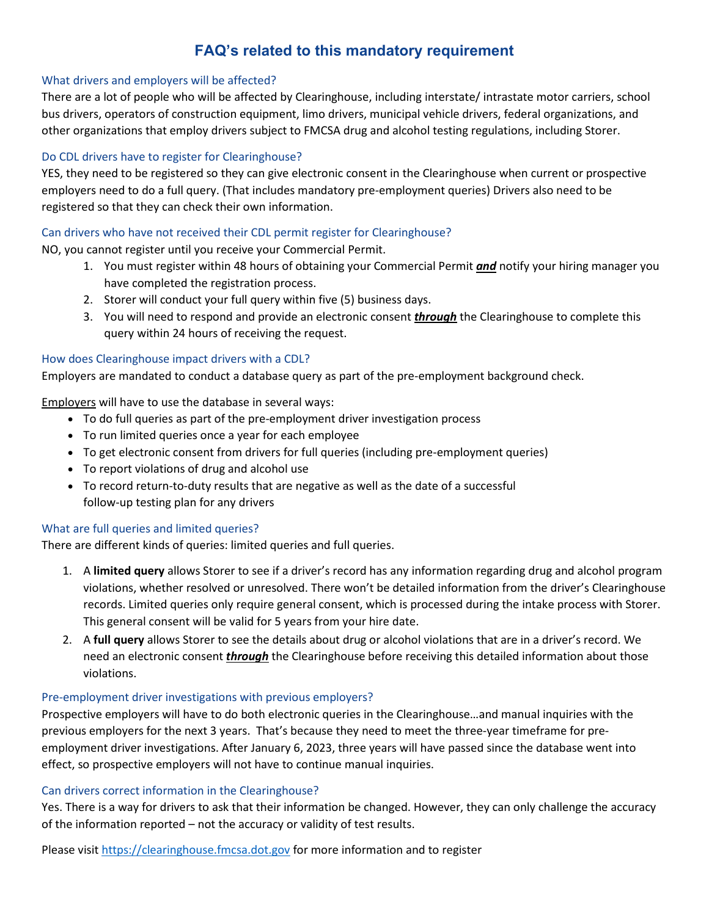# **FAQ's related to this mandatory requirement**

## What drivers and employers will be affected?

There are a lot of people who will be affected by Clearinghouse, including [interstate/](https://insurancehub.com/interstate-commerce-vs-intrastate-commerce/) intrastate motor carriers, school bus drivers, operators of construction equipment, limo drivers, municipal vehicle drivers, federal organizations, and other organizations that employ drivers subject to FMCSA drug and alcohol testing regulations, including Storer.

## Do CDL drivers have to register for Clearinghouse?

YES, they need to be registered so they can give electronic consent in the Clearinghouse when current or prospective employers need to do a full query. (That includes mandatory pre-employment queries) Drivers also need to be registered so that they can check their own information.

## Can drivers who have not received their CDL permit register for Clearinghouse?

NO, you cannot register until you receive your Commercial Permit.

- 1. You must register within 48 hours of obtaining your Commercial Permit *and* notify your hiring manager you have completed the registration process.
- 2. Storer will conduct your full query within five (5) business days.
- 3. You will need to respond and provide an electronic consent *through* the Clearinghouse to complete this query within 24 hours of receiving the request.

### How does Clearinghouse impact drivers with a CDL?

Employers are mandated to conduct a database query as part of the pre-employment background check.

Employers will have to use the database in several ways:

- To do full queries as part of the pre-employment driver investigation process
- To run limited queries once a year for each employee
- To get electronic consent from drivers for full queries (including pre-employment queries)
- To report violations of drug and alcohol use
- To record return-to-duty results that are negative as well as the date of a successful follow-up testing plan for any drivers

## What are full queries and limited queries?

There are different kinds of queries: limited queries and full queries.

- 1. A **limited query** allows Storer to see if a driver's record has any information regarding drug and alcohol program violations, whether resolved or unresolved. There won't be detailed information from the driver's Clearinghouse records. Limited queries only require general consent, which is processed during the intake process with Storer. This general consent will be valid for 5 years from your hire date.
- 2. A **full query** allows Storer to see the details about drug or alcohol violations that are in a driver's record. We need an electronic consent *through* the Clearinghouse before receiving this detailed information about those violations.

### Pre-employment driver investigations with previous employers?

Prospective employers will have to do both electronic queries in the Clearinghouse…and manual inquiries with the previous employers for the next 3 years. That's because they need to meet the three-year timeframe for preemployment driver investigations. After January 6, 2023, three years will have passed since the database went into effect, so prospective employers will not have to continue manual inquiries.

### Can drivers correct information in the Clearinghouse?

Yes. There is a way for drivers to ask that their information be changed. However, they can only challenge the accuracy of the information reported – not the accuracy or validity of test results.

Please visi[t https://clearinghouse.fmcsa.dot.gov](https://clearinghouse.fmcsa.dot.gov/) for more information and to register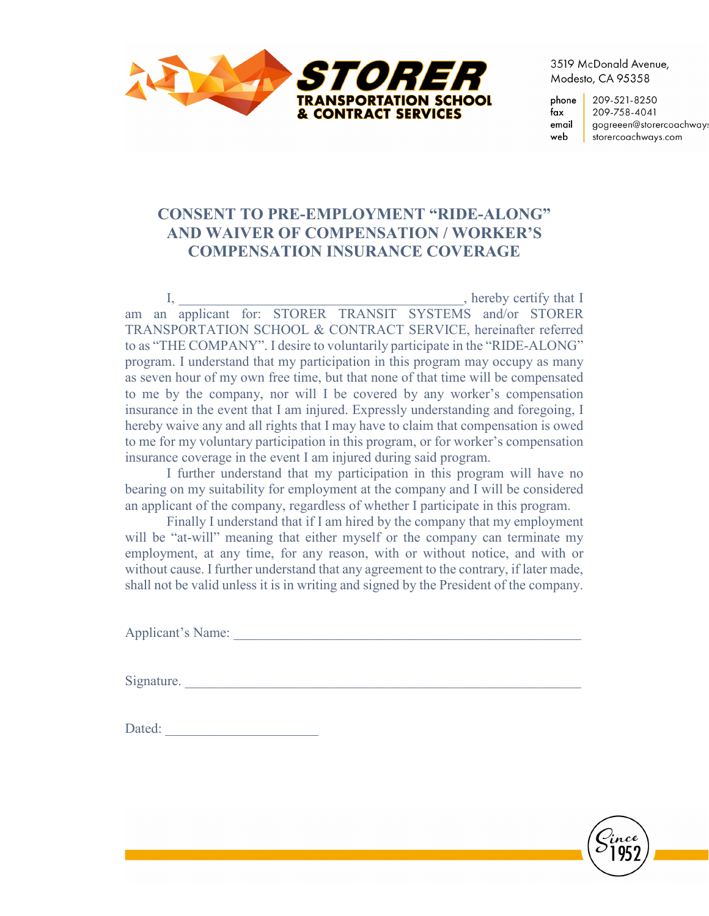

phone 209-521-8250 209-758-4041 fax gogreeen@storercoachway email web storercoachways.com

# **CONSENT TO PRE-EMPLOYMENT "RIDE-ALONG" AND WAIVER OF COMPENSATION / WORKER'S COMPENSATION INSURANCE COVERAGE**

I, \_\_\_\_\_\_\_\_\_\_\_\_\_\_\_\_\_\_\_\_\_\_\_\_\_\_\_\_\_\_\_\_\_\_\_\_\_\_\_\_\_, hereby certify that I am an applicant for: STORER TRANSIT SYSTEMS and/or STORER TRANSPORTATION SCHOOL & CONTRACT SERVICE, hereinafter referred to as "THE COMPANY". I desire to voluntarily participate in the "RIDE-ALONG" program. I understand that my participation in this program may occupy as many as seven hour of my own free time, but that none of that time will be compensated to me by the company, nor will I be covered by any worker's compensation insurance in the event that I am injured. Expressly understanding and foregoing, I hereby waive any and all rights that I may have to claim that compensation is owed to me for my voluntary participation in this program, or for worker's compensation insurance coverage in the event I am injured during said program.

I further understand that my participation in this program will have no bearing on my suitability for employment at the company and I will be considered an applicant of the company, regardless of whether I participate in this program.

Finally I understand that if I am hired by the company that my employment will be "at-will" meaning that either myself or the company can terminate my employment, at any time, for any reason, with or without notice, and with or without cause. I further understand that any agreement to the contrary, if later made, shall not be valid unless it is in writing and signed by the President of the company.

Applicant's Name:

Signature.

Dated: \_\_\_\_\_\_\_\_\_\_\_\_\_\_\_\_\_\_\_\_\_\_

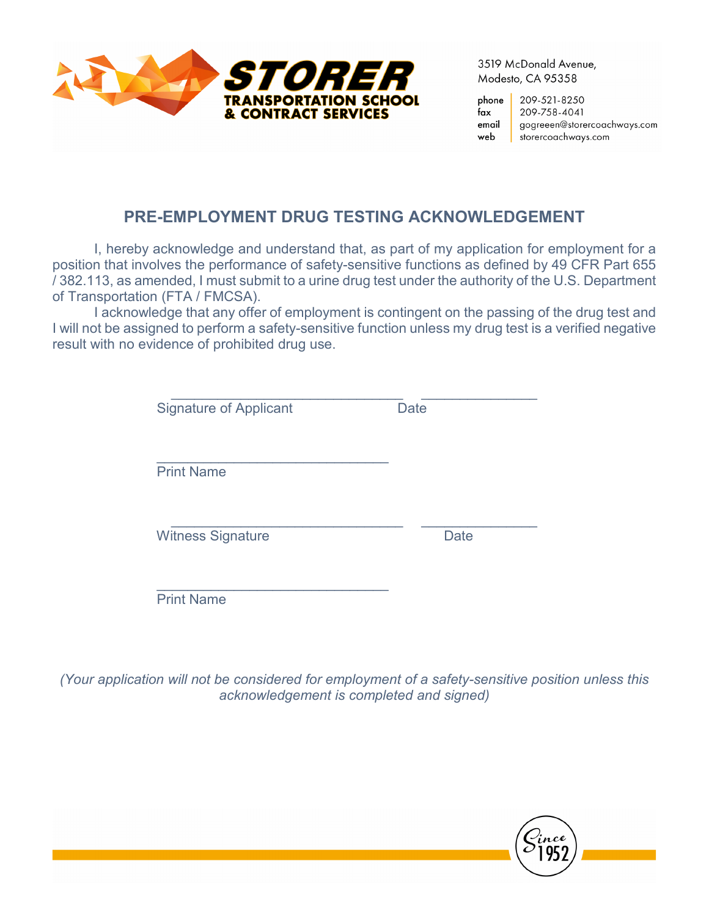

phone 209-521-8250 209-758-4041 fax email gogreeen@storercoachways.com web storercoachways.com

# **PRE-EMPLOYMENT DRUG TESTING ACKNOWLEDGEMENT**

I, hereby acknowledge and understand that, as part of my application for employment for a position that involves the performance of safety-sensitive functions as defined by 49 CFR Part 655 / 382.113, as amended, I must submit to a urine drug test under the authority of the U.S. Department of Transportation (FTA / FMCSA).

I acknowledge that any offer of employment is contingent on the passing of the drug test and I will not be assigned to perform a safety-sensitive function unless my drug test is a verified negative result with no evidence of prohibited drug use.

| <b>Signature of Applicant</b> | Date        |
|-------------------------------|-------------|
| <b>Print Name</b>             |             |
| <b>Witness Signature</b>      | <b>Date</b> |
| <b>Print Name</b>             |             |

*(Your application will not be considered for employment of a safety-sensitive position unless this acknowledgement is completed and signed)*

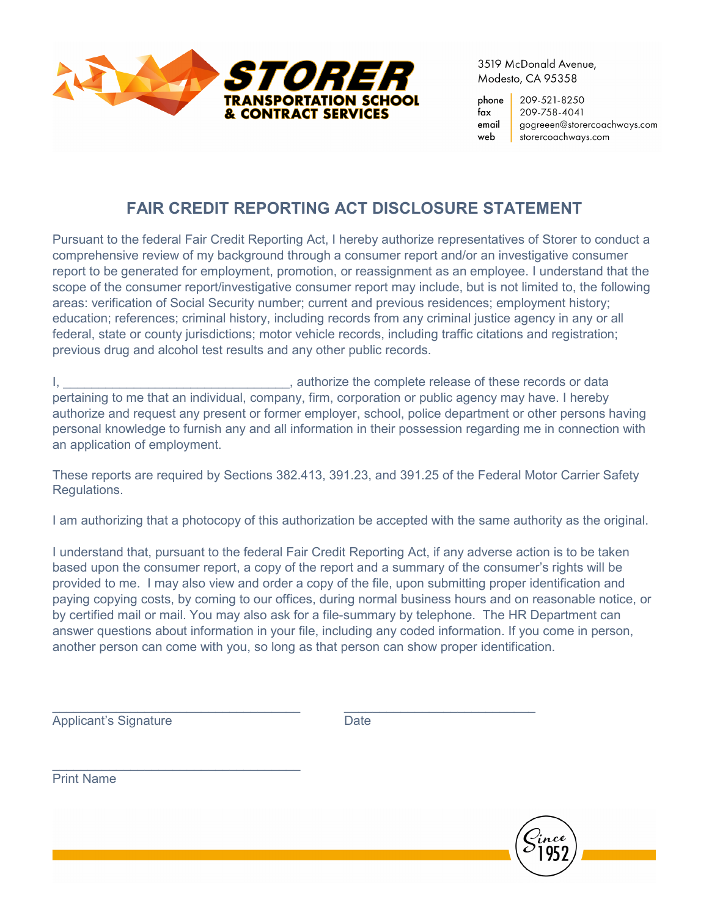

209-521-8250 phone fax 209-758-4041 email gogreeen@storercoachways.com web storercoachways.com

# **FAIR CREDIT REPORTING ACT DISCLOSURE STATEMENT**

Pursuant to the federal Fair Credit Reporting Act, I hereby authorize representatives of Storer to conduct a comprehensive review of my background through a consumer report and/or an investigative consumer report to be generated for employment, promotion, or reassignment as an employee. I understand that the scope of the consumer report/investigative consumer report may include, but is not limited to, the following areas: verification of Social Security number; current and previous residences; employment history; education; references; criminal history, including records from any criminal justice agency in any or all federal, state or county jurisdictions; motor vehicle records, including traffic citations and registration; previous drug and alcohol test results and any other public records.

I, **EXECUTE:** A surface the complete release of these records or data pertaining to me that an individual, company, firm, corporation or public agency may have. I hereby authorize and request any present or former employer, school, police department or other persons having personal knowledge to furnish any and all information in their possession regarding me in connection with an application of employment.

These reports are required by Sections 382.413, 391.23, and 391.25 of the Federal Motor Carrier Safety Regulations.

I am authorizing that a photocopy of this authorization be accepted with the same authority as the original.

I understand that, pursuant to the federal Fair Credit Reporting Act, if any adverse action is to be taken based upon the consumer report, a copy of the report and a summary of the consumer's rights will be provided to me. I may also view and order a copy of the file, upon submitting proper identification and paying copying costs, by coming to our offices, during normal business hours and on reasonable notice, or by certified mail or mail. You may also ask for a file-summary by telephone. The HR Department can answer questions about information in your file, including any coded information. If you come in person, another person can come with you, so long as that person can show proper identification.

Applicant's Signature Date

 $\_$  , and the set of the set of the set of the set of the set of the set of the set of the set of the set of the set of the set of the set of the set of the set of the set of the set of the set of the set of the set of th

\_\_\_\_\_\_\_\_\_\_\_\_\_\_\_\_\_\_\_\_\_\_\_\_\_\_\_\_\_\_\_\_\_\_\_ Print Name

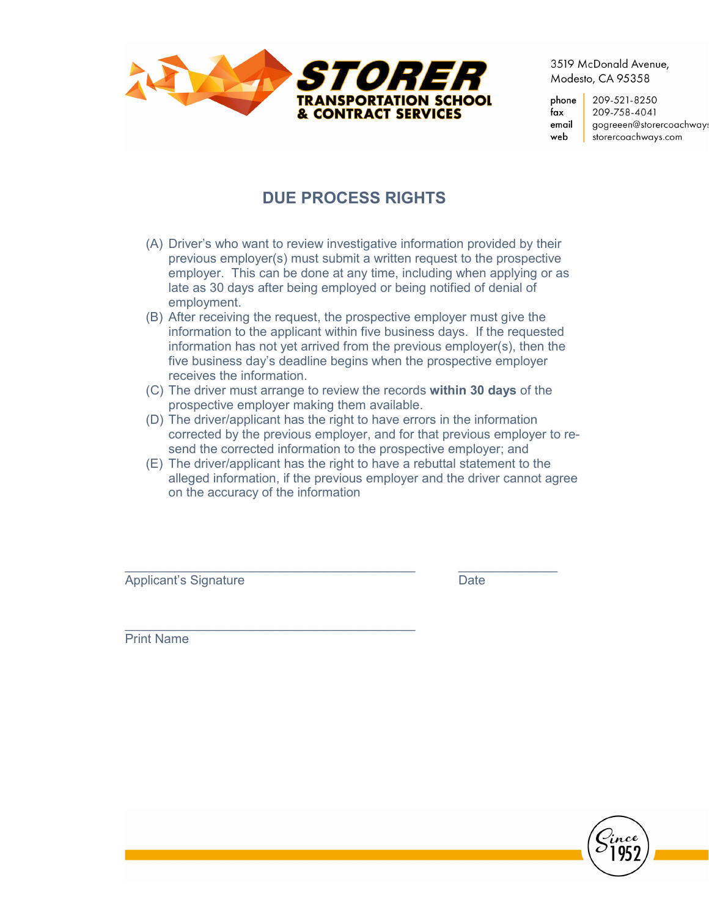

209-521-8250 phone 209-758-4041 fax email gogreeen@storercoachway: web storercoachways.com

# **DUE PROCESS RIGHTS**

- (A) Driver's who want to review investigative information provided by their previous employer(s) must submit a written request to the prospective employer. This can be done at any time, including when applying or as late as 30 days after being employed or being notified of denial of employment.
- (B) After receiving the request, the prospective employer must give the information to the applicant within five business days. If the requested information has not yet arrived from the previous employer(s), then the five business day's deadline begins when the prospective employer receives the information.
- (C) The driver must arrange to review the records **within 30 days** of the prospective employer making them available.
- (D) The driver/applicant has the right to have errors in the information corrected by the previous employer, and for that previous employer to resend the corrected information to the prospective employer; and
- (E) The driver/applicant has the right to have a rebuttal statement to the alleged information, if the previous employer and the driver cannot agree on the accuracy of the information

 $\_$  ,  $\_$  ,  $\_$  ,  $\_$  ,  $\_$  ,  $\_$  ,  $\_$  ,  $\_$  ,  $\_$  ,  $\_$  ,  $\_$  ,  $\_$  ,  $\_$  ,  $\_$  ,  $\_$  ,  $\_$  ,  $\_$  ,  $\_$  ,  $\_$ Applicant's Signature Date

\_\_\_\_\_\_\_\_\_\_\_\_\_\_\_\_\_\_\_\_\_\_\_\_\_\_\_\_\_\_\_\_\_\_\_\_\_\_\_\_\_

Print Name

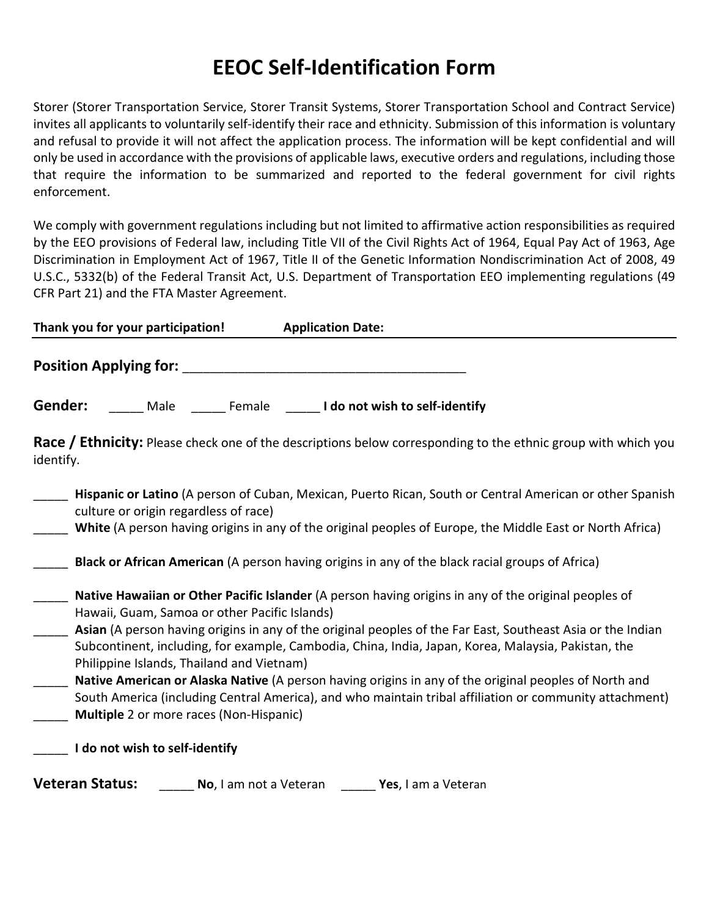# **EEOC Self-Identification Form**

Storer (Storer Transportation Service, Storer Transit Systems, Storer Transportation School and Contract Service) invites all applicants to voluntarily self-identify their race and ethnicity. Submission of this information is voluntary and refusal to provide it will not affect the application process. The information will be kept confidential and will only be used in accordance with the provisions of applicable laws, executive orders and regulations, including those that require the information to be summarized and reported to the federal government for civil rights enforcement.

We comply with government regulations including but not limited to affirmative action responsibilities as required by the EEO provisions of Federal law, including Title VII of the Civil Rights Act of 1964, Equal Pay Act of 1963, Age Discrimination in Employment Act of 1967, Title II of the Genetic Information Nondiscrimination Act of 2008, 49 U.S.C., 5332(b) of the Federal Transit Act, U.S. Department of Transportation EEO implementing regulations (49 CFR Part 21) and the FTA Master Agreement.

|                        | Thank you for your participation!     |                                                                                                                                              | <b>Application Date:</b> |                     |                                                                                                                                                                                                                                                                                                                                                                                                                                                                                                                                                                                                                                                                                                                                                                                                                                                                            |  |
|------------------------|---------------------------------------|----------------------------------------------------------------------------------------------------------------------------------------------|--------------------------|---------------------|----------------------------------------------------------------------------------------------------------------------------------------------------------------------------------------------------------------------------------------------------------------------------------------------------------------------------------------------------------------------------------------------------------------------------------------------------------------------------------------------------------------------------------------------------------------------------------------------------------------------------------------------------------------------------------------------------------------------------------------------------------------------------------------------------------------------------------------------------------------------------|--|
|                        | <b>Position Applying for:</b>         |                                                                                                                                              |                          |                     |                                                                                                                                                                                                                                                                                                                                                                                                                                                                                                                                                                                                                                                                                                                                                                                                                                                                            |  |
| Gender:                |                                       | Male Female ______ I do not wish to self-identify                                                                                            |                          |                     |                                                                                                                                                                                                                                                                                                                                                                                                                                                                                                                                                                                                                                                                                                                                                                                                                                                                            |  |
| identify.              |                                       |                                                                                                                                              |                          |                     | <b>Race / Ethnicity:</b> Please check one of the descriptions below corresponding to the ethnic group with which you                                                                                                                                                                                                                                                                                                                                                                                                                                                                                                                                                                                                                                                                                                                                                       |  |
|                        | culture or origin regardless of race) | Hawaii, Guam, Samoa or other Pacific Islands)<br>Philippine Islands, Thailand and Vietnam)<br><b>Multiple</b> 2 or more races (Non-Hispanic) |                          |                     | Hispanic or Latino (A person of Cuban, Mexican, Puerto Rican, South or Central American or other Spanish<br>White (A person having origins in any of the original peoples of Europe, the Middle East or North Africa)<br>Black or African American (A person having origins in any of the black racial groups of Africa)<br>Native Hawaiian or Other Pacific Islander (A person having origins in any of the original peoples of<br>Asian (A person having origins in any of the original peoples of the Far East, Southeast Asia or the Indian<br>Subcontinent, including, for example, Cambodia, China, India, Japan, Korea, Malaysia, Pakistan, the<br>Native American or Alaska Native (A person having origins in any of the original peoples of North and<br>South America (including Central America), and who maintain tribal affiliation or community attachment) |  |
|                        | I do not wish to self-identify        |                                                                                                                                              |                          |                     |                                                                                                                                                                                                                                                                                                                                                                                                                                                                                                                                                                                                                                                                                                                                                                                                                                                                            |  |
| <b>Veteran Status:</b> |                                       | No, I am not a Veteran                                                                                                                       |                          | Yes, I am a Veteran |                                                                                                                                                                                                                                                                                                                                                                                                                                                                                                                                                                                                                                                                                                                                                                                                                                                                            |  |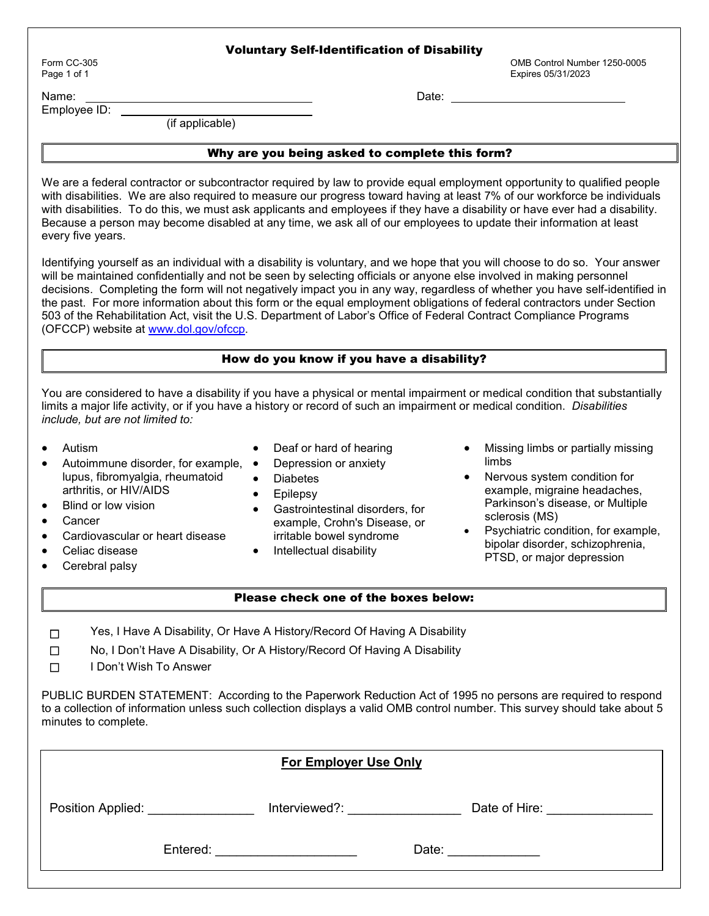#### Voluntary Self-Identification of Disability

Form CC-305 **CONTROLLER CONTROLLER CONTROLLER CONTROLLER CONTROLLER CONTROLLER CONTROLLER CONTROLLER CONTROLLER**<br>
Fage 1 of 1 Expires 05/31/2023

Name: Date:

Employee ID:

(if applicable)

#### Why are you being asked to complete this form?

We are a federal contractor or subcontractor required by law to provide equal employment opportunity to qualified people with disabilities. We are also required to measure our progress toward having at least 7% of our workforce be individuals with disabilities. To do this, we must ask applicants and employees if they have a disability or have ever had a disability. Because a person may become disabled at any time, we ask all of our employees to update their information at least every five years.

Identifying yourself as an individual with a disability is voluntary, and we hope that you will choose to do so. Your answer will be maintained confidentially and not be seen by selecting officials or anyone else involved in making personnel decisions. Completing the form will not negatively impact you in any way, regardless of whether you have self-identified in the past. For more information about this form or the equal employment obligations of federal contractors under Section 503 of the Rehabilitation Act, visit the U.S. Department of Labor's Office of Federal Contract Compliance Programs (OFCCP) website at [www.dol.gov/ofccp.](https://www.dol.gov/agencies/ofccp)

#### How do you know if you have a disability?

You are considered to have a disability if you have a physical or mental impairment or medical condition that substantially limits a major life activity, or if you have a history or record of such an impairment or medical condition. *Disabilities include, but are not limited to:*

- Autism
- Autoimmune disorder, for example, lupus, fibromyalgia, rheumatoid arthritis, or HIV/AIDS • Depression or anxiety
- Blind or low vision
- Cancer
- Cardiovascular or heart disease
- Celiac disease
- irritable bowel syndrome • Intellectual disability

• Diabetes • Epilepsy

- Cerebral palsy
- 

• Deaf or hard of hearing

• Gastrointestinal disorders, for example, Crohn's Disease, or

## Please check one of the boxes below:

- ☐ Yes, I Have A Disability, Or Have A History/Record Of Having A Disability
- ☐ No, I Don't Have A Disability, Or A History/Record Of Having A Disability
- ☐ I Don't Wish To Answer

PUBLIC BURDEN STATEMENT: According to the Paperwork Reduction Act of 1995 no persons are required to respond to a collection of information unless such collection displays a valid OMB control number. This survey should take about 5 minutes to complete.

| <b>For Employer Use Only</b> |          |               |       |                             |
|------------------------------|----------|---------------|-------|-----------------------------|
| Position Applied:            |          | Interviewed?: |       | Date of Hire: New York 1996 |
|                              | Entered: |               | Date: |                             |

• Missing limbs or partially missing limbs

- Nervous system condition for example, migraine headaches, Parkinson's disease, or Multiple sclerosis (MS)
- Psychiatric condition, for example, bipolar disorder, schizophrenia, PTSD, or major depression